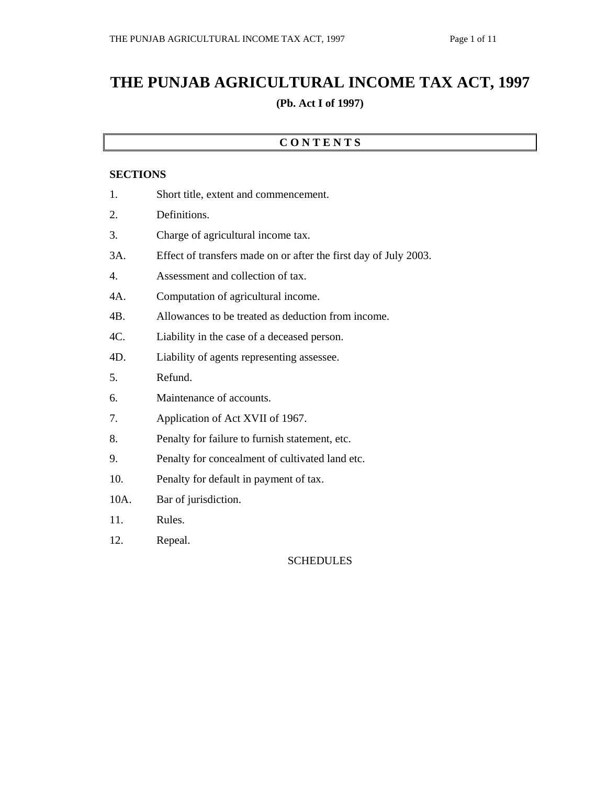# **THE PUNJAB AGRICULTURAL INCOME TAX ACT, 1997 (Pb. Act I of 1997)**

### **C O N T E N T S**

#### **SECTIONS**

| 1.   | Short title, extent and commencement.                            |  |
|------|------------------------------------------------------------------|--|
| 2.   | Definitions.                                                     |  |
| 3.   | Charge of agricultural income tax.                               |  |
| 3A.  | Effect of transfers made on or after the first day of July 2003. |  |
| 4.   | Assessment and collection of tax.                                |  |
| 4A.  | Computation of agricultural income.                              |  |
| 4B.  | Allowances to be treated as deduction from income.               |  |
| 4C.  | Liability in the case of a deceased person.                      |  |
| 4D.  | Liability of agents representing assessee.                       |  |
| 5.   | Refund.                                                          |  |
| 6.   | Maintenance of accounts.                                         |  |
| 7.   | Application of Act XVII of 1967.                                 |  |
| 8.   | Penalty for failure to furnish statement, etc.                   |  |
| 9.   | Penalty for concealment of cultivated land etc.                  |  |
| 10.  | Penalty for default in payment of tax.                           |  |
| 10A. | Bar of jurisdiction.                                             |  |
| 11.  | Rules.                                                           |  |
| 12.  | Repeal.                                                          |  |

SCHEDULES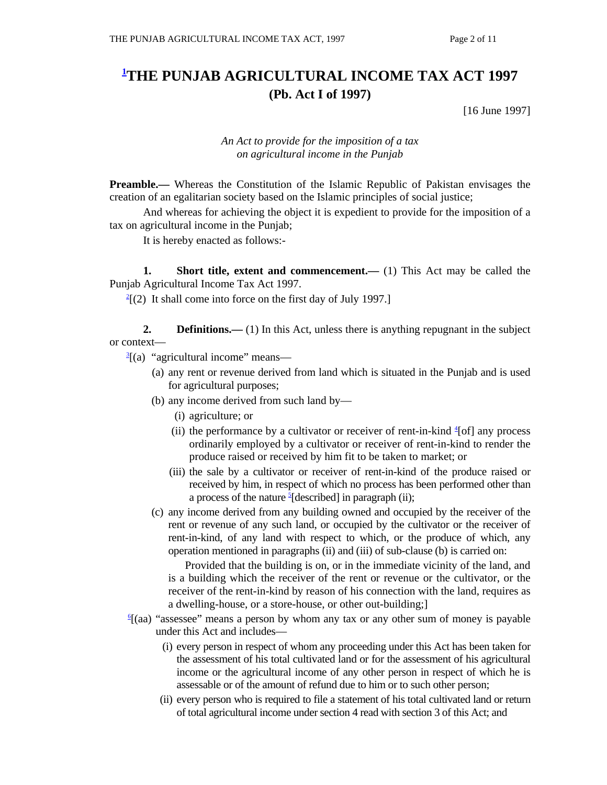## **1 THE PUNJAB AGRICULTURAL INCOME TAX ACT 1997 (Pb. Act I of 1997)**

[16 June 1997]

#### *An Act to provide for the imposition of a tax on agricultural income in the Punjab*

**Preamble.**— Whereas the Constitution of the Islamic Republic of Pakistan envisages the creation of an egalitarian society based on the Islamic principles of social justice;

 And whereas for achieving the object it is expedient to provide for the imposition of a tax on agricultural income in the Punjab;

It is hereby enacted as follows:-

**1.** Short title, extent and commencement.— (1) This Act may be called the Punjab Agricultural Income Tax Act 1997. 2

 $^{2}$ [(2) It shall come into force on the first day of July 1997.]

**2. Definitions.**—(1) In this Act, unless there is anything repugnant in the subject or context— 3

- $\frac{3}{2}$ [(a) "agricultural income" means—
	- (a) any rent or revenue derived from land which is situated in the Punjab and is used for agricultural purposes;
	- (b) any income derived from such land by—
		- (i) agriculture; or
- (ii) the performance by a cultivator or receiver of rent-in-kind  $\frac{4}{3}$ [of] any process ordinarily employed by a cultivator or receiver of rent-in-kind to render the produce raised or received by him fit to be taken to market; or
	- (iii) the sale by a cultivator or receiver of rent-in-kind of the produce raised or received by him, in respect of which no process has been performed other than a process of the nature  $\frac{5}{6}$ [described] in paragraph (ii);
	- (c) any income derived from any building owned and occupied by the receiver of the rent or revenue of any such land, or occupied by the cultivator or the receiver of rent-in-kind, of any land with respect to which, or the produce of which, any operation mentioned in paragraphs (ii) and (iii) of sub-clause (b) is carried on:

 Provided that the building is on, or in the immediate vicinity of the land, and is a building which the receiver of the rent or revenue or the cultivator, or the receiver of the rent-in-kind by reason of his connection with the land, requires as a dwelling-house, or a store-house, or other out-building;] 6

- $\frac{6}{2}$ (aa) "assessee" means a person by whom any tax or any other sum of money is payable under this Act and includes—
	- (i) every person in respect of whom any proceeding under this Act has been taken for the assessment of his total cultivated land or for the assessment of his agricultural income or the agricultural income of any other person in respect of which he is assessable or of the amount of refund due to him or to such other person;
	- (ii) every person who is required to file a statement of his total cultivated land or return of total agricultural income under section 4 read with section 3 of this Act; and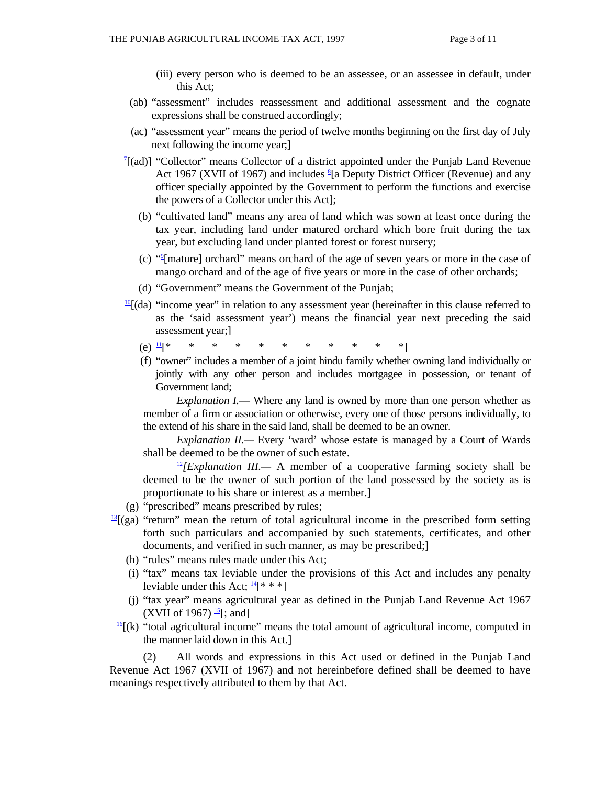- (iii) every person who is deemed to be an assessee, or an assessee in default, under this Act;
- (ab) "assessment" includes reassessment and additional assessment and the cognate expressions shall be construed accordingly;
- (ac) "assessment year" means the period of twelve months beginning on the first day of July next following the income year;]
- $^{7}$ [(ad)] "Collector" means Collector of a district appointed under the Punjab Land Revenue Act 1967 (XVII of 1967) and includes  $\S$ [a Deputy District Officer (Revenue) and any officer specially appointed by the Government to perform the functions and exercise the powers of a Collector under this Act];
	- (b) "cultivated land" means any area of land which was sown at least once during the tax year, including land under matured orchard which bore fruit during the tax year, but excluding land under planted forest or forest nursery;
- (c) "9 [mature] orchard" means orchard of the age of seven years or more in the case of mango orchard and of the age of five years or more in the case of other orchards;
	- (d) "Government" means the Government of the Punjab;
	- $\frac{10}{10}$ [(da) "income year" in relation to any assessment year (hereinafter in this clause referred to as the 'said assessment year') means the financial year next preceding the said assessment year;]
- $(e)$  11[\* \* \* \* \* \* \* \* \* \* \* \*]
	- (f) "owner" includes a member of a joint hindu family whether owning land individually or jointly with any other person and includes mortgagee in possession, or tenant of Government land;

*Explanation I.*— Where any land is owned by more than one person whether as member of a firm or association or otherwise, every one of those persons individually, to the extend of his share in the said land, shall be deemed to be an owner.

 *Explanation II.—* Every 'ward' whose estate is managed by a Court of Wards shall be deemed to be the owner of such estate.

 $\frac{12}{2}$ *[Explanation III.*— A member of a cooperative farming society shall be deemed to be the owner of such portion of the land possessed by the society as is proportionate to his share or interest as a member.]

- (g) "prescribed" means prescribed by rules;
- $\frac{13}{2}$ (ga) "return" mean the return of total agricultural income in the prescribed form setting forth such particulars and accompanied by such statements, certificates, and other documents, and verified in such manner, as may be prescribed;
	- (h) "rules" means rules made under this Act;
	- (i) "tax" means tax leviable under the provisions of this Act and includes any penalty leviable under this Act;  $\frac{14}{6}$  \* \* ]
- (j) "tax year" means agricultural year as defined in the Punjab Land Revenue Act 1967 (XVII of 1967) <sup>15</sup>[; and]<br><sup>16</sup>[(k) "total agricultural income" means the total amount of agricultural income, computed in
- the manner laid down in this Act.]

 (2) All words and expressions in this Act used or defined in the Punjab Land Revenue Act 1967 (XVII of 1967) and not hereinbefore defined shall be deemed to have meanings respectively attributed to them by that Act.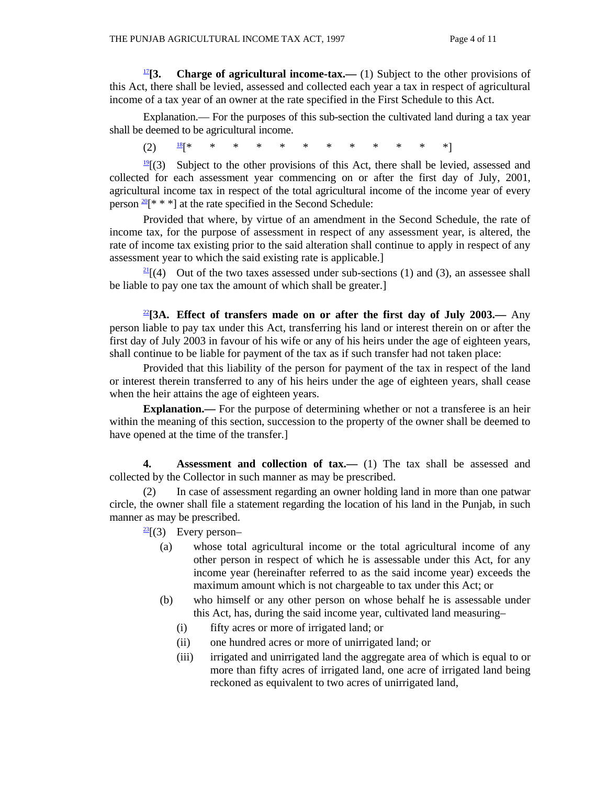**17<sup>[2]</sup>[3.** Charge of agricultural income-tax.— (1) Subject to the other provisions of this Act, there shall be levied, assessed and collected each year a tax in respect of agricultural income of a tax year of an owner at the rate specified in the First Schedule to this Act.

 Explanation.— For the purposes of this sub-section the cultivated land during a tax year shall be deemed to be agricultural income.

(2) 18[\* \* \* \* \* \* \* \* \* \* \* \*]

 $\frac{19}{2}$ (3) Subject to the other provisions of this Act, there shall be levied, assessed and collected for each assessment year commencing on or after the first day of July, 2001, agricultural income tax in respect of the total agricultural income of the income year of every person  $\frac{20}{8}$ [\* \* \*] at the rate specified in the Second Schedule:

 Provided that where, by virtue of an amendment in the Second Schedule, the rate of income tax, for the purpose of assessment in respect of any assessment year, is altered, the rate of income tax existing prior to the said alteration shall continue to apply in respect of any assessment year to which the said existing rate is applicable.]

 $\frac{21}{2}$ [(4) Out of the two taxes assessed under sub-sections (1) and (3), an assessee shall be liable to pay one tax the amount of which shall be greater.]

<sup>22</sup>**[3A. Effect of transfers made on or after the first day of July 2003.—** Any person liable to pay tax under this Act, transferring his land or interest therein on or after the first day of July 2003 in favour of his wife or any of his heirs under the age of eighteen years, shall continue to be liable for payment of the tax as if such transfer had not taken place:

 Provided that this liability of the person for payment of the tax in respect of the land or interest therein transferred to any of his heirs under the age of eighteen years, shall cease when the heir attains the age of eighteen years.

**Explanation.—** For the purpose of determining whether or not a transferee is an heir within the meaning of this section, succession to the property of the owner shall be deemed to have opened at the time of the transfer.

 **4. Assessment and collection of tax.—** (1) The tax shall be assessed and collected by the Collector in such manner as may be prescribed.

 (2) In case of assessment regarding an owner holding land in more than one patwar circle, the owner shall file a statement regarding the location of his land in the Punjab, in such manner as may be prescribed.

 $\frac{23}{2}$ [(3) Every person-

- (a) whose total agricultural income or the total agricultural income of any other person in respect of which he is assessable under this Act, for any income year (hereinafter referred to as the said income year) exceeds the maximum amount which is not chargeable to tax under this Act; or
- (b) who himself or any other person on whose behalf he is assessable under this Act, has, during the said income year, cultivated land measuring–
	- (i) fifty acres or more of irrigated land; or
	- (ii) one hundred acres or more of unirrigated land; or
	- (iii) irrigated and unirrigated land the aggregate area of which is equal to or more than fifty acres of irrigated land, one acre of irrigated land being reckoned as equivalent to two acres of unirrigated land,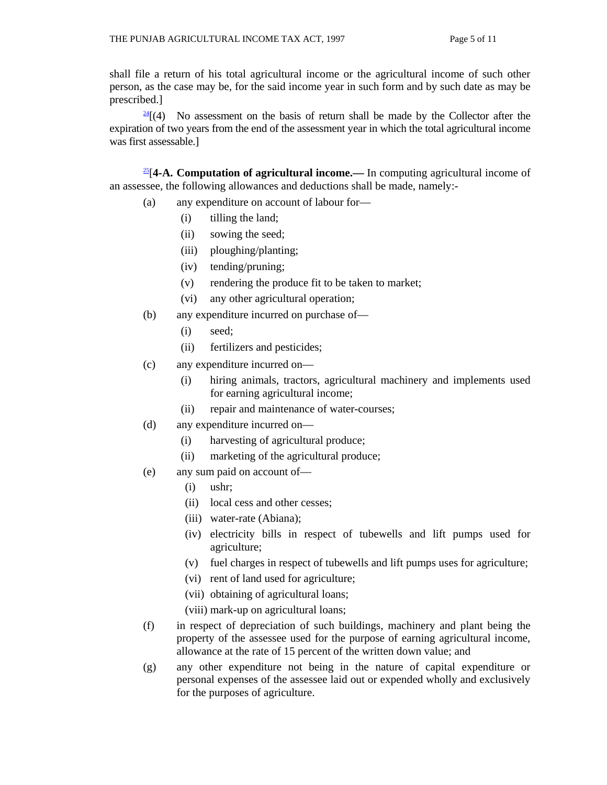shall file a return of his total agricultural income or the agricultural income of such other person, as the case may be, for the said income year in such form and by such date as may be prescribed.]

 $\frac{24}{4}$  (4) No assessment on the basis of return shall be made by the Collector after the expiration of two years from the end of the assessment year in which the total agricultural income was first assessable.]

25[**4-A. Computation of agricultural income.—** In computing agricultural income of an assessee, the following allowances and deductions shall be made, namely:-

- (a) any expenditure on account of labour for—
	- (i) tilling the land;
	- (ii) sowing the seed;
	- (iii) ploughing/planting;
	- (iv) tending/pruning;
	- (v) rendering the produce fit to be taken to market;
	- (vi) any other agricultural operation;
- (b) any expenditure incurred on purchase of—
	- (i) seed;
	- (ii) fertilizers and pesticides;
- (c) any expenditure incurred on—
	- (i) hiring animals, tractors, agricultural machinery and implements used for earning agricultural income;
	- (ii) repair and maintenance of water-courses;
- (d) any expenditure incurred on—
	- (i) harvesting of agricultural produce;
	- (ii) marketing of the agricultural produce;
- (e) any sum paid on account of—
	- (i) ushr;
	- (ii) local cess and other cesses;
	- (iii) water-rate (Abiana);
	- (iv) electricity bills in respect of tubewells and lift pumps used for agriculture;
	- (v) fuel charges in respect of tubewells and lift pumps uses for agriculture;
	- (vi) rent of land used for agriculture;
	- (vii) obtaining of agricultural loans;
	- (viii) mark-up on agricultural loans;
- (f) in respect of depreciation of such buildings, machinery and plant being the property of the assessee used for the purpose of earning agricultural income, allowance at the rate of 15 percent of the written down value; and
- (g) any other expenditure not being in the nature of capital expenditure or personal expenses of the assessee laid out or expended wholly and exclusively for the purposes of agriculture.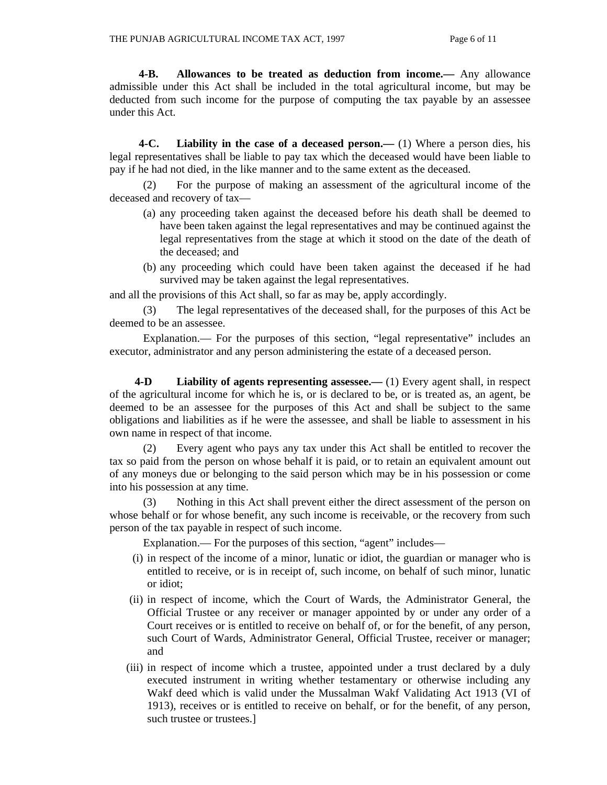**4-B. Allowances to be treated as deduction from income.—** Any allowance admissible under this Act shall be included in the total agricultural income, but may be deducted from such income for the purpose of computing the tax payable by an assessee under this Act.

 **4-C. Liability in the case of a deceased person.—** (1) Where a person dies, his legal representatives shall be liable to pay tax which the deceased would have been liable to pay if he had not died, in the like manner and to the same extent as the deceased.

 (2) For the purpose of making an assessment of the agricultural income of the deceased and recovery of tax—

- (a) any proceeding taken against the deceased before his death shall be deemed to have been taken against the legal representatives and may be continued against the legal representatives from the stage at which it stood on the date of the death of the deceased; and
- (b) any proceeding which could have been taken against the deceased if he had survived may be taken against the legal representatives.

and all the provisions of this Act shall, so far as may be, apply accordingly.

 (3) The legal representatives of the deceased shall, for the purposes of this Act be deemed to be an assessee.

 Explanation.— For the purposes of this section, "legal representative" includes an executor, administrator and any person administering the estate of a deceased person.

 **4-D Liability of agents representing assessee.—** (1) Every agent shall, in respect of the agricultural income for which he is, or is declared to be, or is treated as, an agent, be deemed to be an assessee for the purposes of this Act and shall be subject to the same obligations and liabilities as if he were the assessee, and shall be liable to assessment in his own name in respect of that income.

 (2) Every agent who pays any tax under this Act shall be entitled to recover the tax so paid from the person on whose behalf it is paid, or to retain an equivalent amount out of any moneys due or belonging to the said person which may be in his possession or come into his possession at any time.

 (3) Nothing in this Act shall prevent either the direct assessment of the person on whose behalf or for whose benefit, any such income is receivable, or the recovery from such person of the tax payable in respect of such income.

Explanation.— For the purposes of this section, "agent" includes—

- (i) in respect of the income of a minor, lunatic or idiot, the guardian or manager who is entitled to receive, or is in receipt of, such income, on behalf of such minor, lunatic or idiot;
- (ii) in respect of income, which the Court of Wards, the Administrator General, the Official Trustee or any receiver or manager appointed by or under any order of a Court receives or is entitled to receive on behalf of, or for the benefit, of any person, such Court of Wards, Administrator General, Official Trustee, receiver or manager; and
- (iii) in respect of income which a trustee, appointed under a trust declared by a duly executed instrument in writing whether testamentary or otherwise including any Wakf deed which is valid under the Mussalman Wakf Validating Act 1913 (VI of 1913), receives or is entitled to receive on behalf, or for the benefit, of any person, such trustee or trustees.]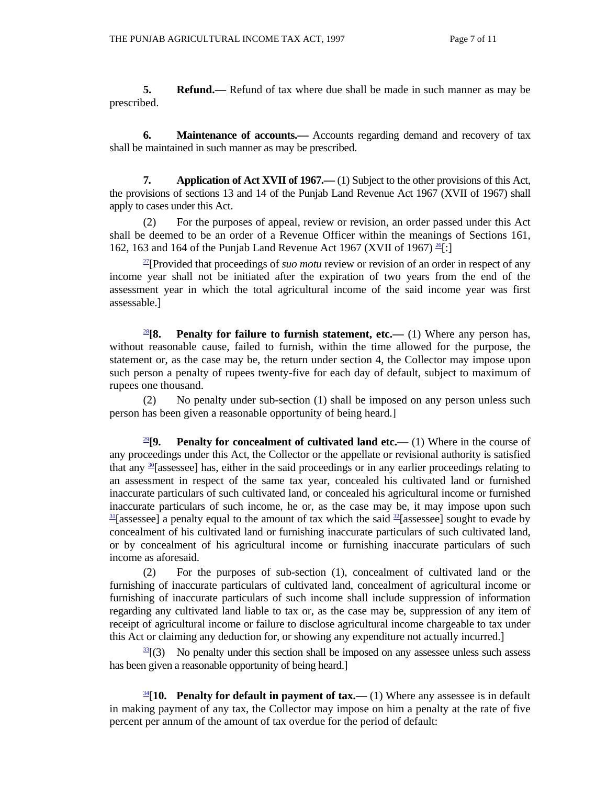**5. Refund.**— Refund of tax where due shall be made in such manner as may be prescribed.

**6.** Maintenance of accounts.— Accounts regarding demand and recovery of tax shall be maintained in such manner as may be prescribed.

 **7. Application of Act XVII of 1967.—** (1) Subject to the other provisions of this Act, the provisions of sections 13 and 14 of the Punjab Land Revenue Act 1967 (XVII of 1967) shall apply to cases under this Act.

 (2) For the purposes of appeal, review or revision, an order passed under this Act shall be deemed to be an order of a Revenue Officer within the meanings of Sections 161, 162, 163 and 164 of the Punjab Land Revenue Act 1967 (XVII of 1967)  $^{26}$ [:]

27[Provided that proceedings of *suo motu* review or revision of an order in respect of any income year shall not be initiated after the expiration of two years from the end of the assessment year in which the total agricultural income of the said income year was first assessable.]

<sup>28</sup>[8. Penalty for failure to furnish statement, etc.— (1) Where any person has, without reasonable cause, failed to furnish, within the time allowed for the purpose, the statement or, as the case may be, the return under section 4, the Collector may impose upon such person a penalty of rupees twenty-five for each day of default, subject to maximum of rupees one thousand.

 (2) No penalty under sub-section (1) shall be imposed on any person unless such person has been given a reasonable opportunity of being heard.]

<sup>29</sup>[9. Penalty for concealment of cultivated land etc.— (1) Where in the course of any proceedings under this Act, the Collector or the appellate or revisional authority is satisfied that any  $\frac{30}{2}$ [assessee] has, either in the said proceedings or in any earlier proceedings relating to an assessment in respect of the same tax year, concealed his cultivated land or furnished inaccurate particulars of such cultivated land, or concealed his agricultural income or furnished inaccurate particulars of such income, he or, as the case may be, it may impose upon such  $\frac{31}{2}$  [assessee] a penalty equal to the amount of tax which the said  $\frac{32}{2}$ [assessee] sought to evade by concealment of his cultivated land or furnishing inaccurate particulars of such cultivated land, or by concealment of his agricultural income or furnishing inaccurate particulars of such income as aforesaid.

 (2) For the purposes of sub-section (1), concealment of cultivated land or the furnishing of inaccurate particulars of cultivated land, concealment of agricultural income or furnishing of inaccurate particulars of such income shall include suppression of information regarding any cultivated land liable to tax or, as the case may be, suppression of any item of receipt of agricultural income or failure to disclose agricultural income chargeable to tax under this Act or claiming any deduction for, or showing any expenditure not actually incurred.]

 $33$ [(3) No penalty under this section shall be imposed on any assessee unless such assess has been given a reasonable opportunity of being heard.]

34[**10. Penalty for default in payment of tax.—** (1) Where any assessee is in default in making payment of any tax, the Collector may impose on him a penalty at the rate of five percent per annum of the amount of tax overdue for the period of default: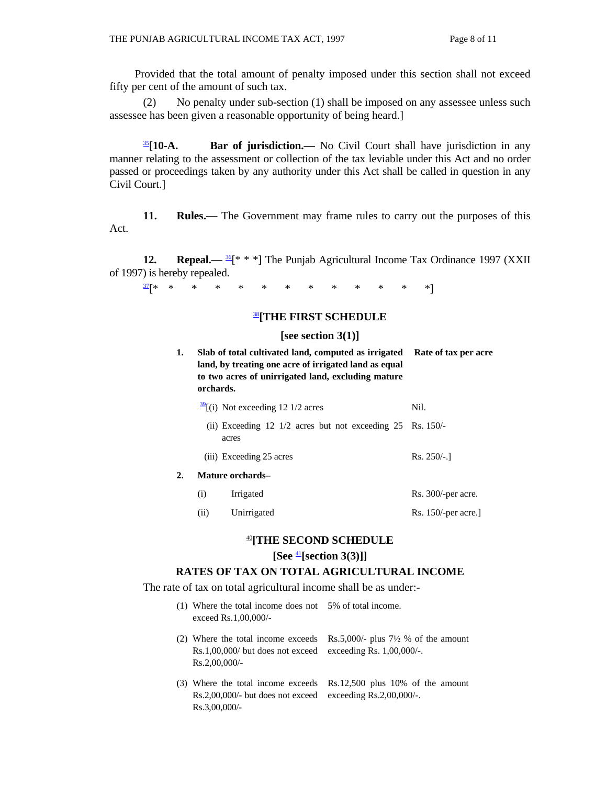Provided that the total amount of penalty imposed under this section shall not exceed fifty per cent of the amount of such tax.

 (2) No penalty under sub-section (1) shall be imposed on any assessee unless such assessee has been given a reasonable opportunity of being heard.]

35[**10-A. Bar of jurisdiction.—** No Civil Court shall have jurisdiction in any manner relating to the assessment or collection of the tax leviable under this Act and no order passed or proceedings taken by any authority under this Act shall be called in question in any Civil Court.]

**11. Rules.—** The Government may frame rules to carry out the purposes of this Act.

**12. Repeal.**— <sup>36</sup>[\* \* \*] The Punjab Agricultural Income Tax Ordinance 1997 (XXII of 1997) is hereby repealed.

37[\* \* \* \* \* \* \* \* \* \* \* \* \*]

#### <sup>38</sup>**[THE FIRST SCHEDULE**

#### **[see section 3(1)]**

| 1.                     | orchards. | Slab of total cultivated land, computed as irrigated<br>land, by treating one acre of irrigated land as equal<br>to two acres of unirrigated land, excluding mature | Rate of tax per acre |
|------------------------|-----------|---------------------------------------------------------------------------------------------------------------------------------------------------------------------|----------------------|
|                        |           | $\frac{39}{2}$ [(i) Not exceeding 12 1/2 acres                                                                                                                      | Nil.                 |
|                        |           | (ii) Exceeding 12 $1/2$ acres but not exceeding 25 Rs. 150/-<br>acres                                                                                               |                      |
|                        |           | (iii) Exceeding 25 acres                                                                                                                                            | $Rs. 250/-1$         |
| 2.<br>Mature orchards- |           |                                                                                                                                                                     |                      |
|                        | (i)       | Irrigated                                                                                                                                                           | Rs. 300/-per acre.   |
|                        | (ii)      | Unirrigated                                                                                                                                                         | Rs. 150/-per acre.]  |

#### <sup>40</sup>**[THE SECOND SCHEDULE**

#### **[See** <sup>41</sup>**[section 3(3)]]**

#### **RATES OF TAX ON TOTAL AGRICULTURAL INCOME**

The rate of tax on total agricultural income shall be as under:-

| $(1)$ Where the total income does not 5% of total income.<br>exceed Rs.1,00,000/-                                          |                                                |
|----------------------------------------------------------------------------------------------------------------------------|------------------------------------------------|
| (2) Where the total income exceeds<br>$Rs.1,00,000/$ but does not exceed exceeding Rs. 1,00,000/-.<br>$Rs.2,00,000/-$      | Rs.5,000/- plus $7\frac{1}{2}$ % of the amount |
| (3) Where the total income exceeds<br>$Rs.2,00,000/$ - but does not exceed exceeding $Rs.2,00,000/$ -.<br>$Rs.3,00,000/$ - | $Rs.12,500$ plus 10% of the amount             |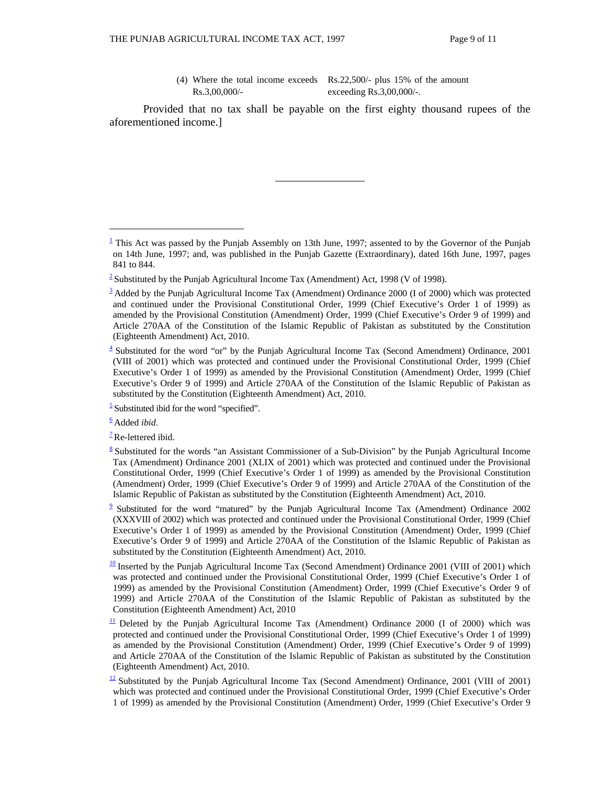(4) Where the total income exceeds Rs.22,500/- plus 15% of the amount Rs.3,00,000/ exceeding Rs.3,00,000/-.

 Provided that no tax shall be payable on the first eighty thousand rupees of the aforementioned income.]

\_\_\_\_\_\_\_\_\_\_\_\_\_\_\_\_

 $\overline{a}$ 

 $\frac{1}{2}$  This Act was passed by the Punjab Assembly on 13th June, 1997; assented to by the Governor of the Punjab on 14th June, 1997; and, was published in the Punjab Gazette (Extraordinary), dated 16th June, 1997, pages 841 to 844.

<sup>&</sup>lt;sup>2</sup> Substituted by the Punjab Agricultural Income Tax (Amendment) Act, 1998 (V of 1998).

 $\frac{3}{2}$  Added by the Punjab Agricultural Income Tax (Amendment) Ordinance 2000 (I of 2000) which was protected and continued under the Provisional Constitutional Order, 1999 (Chief Executive's Order 1 of 1999) as amended by the Provisional Constitution (Amendment) Order, 1999 (Chief Executive's Order 9 of 1999) and Article 270AA of the Constitution of the Islamic Republic of Pakistan as substituted by the Constitution (Eighteenth Amendment) Act, 2010.

 $\frac{4}{3}$  Substituted for the word "or" by the Punjab Agricultural Income Tax (Second Amendment) Ordinance, 2001 (VIII of 2001) which was protected and continued under the Provisional Constitutional Order, 1999 (Chief Executive's Order 1 of 1999) as amended by the Provisional Constitution (Amendment) Order, 1999 (Chief Executive's Order 9 of 1999) and Article 270AA of the Constitution of the Islamic Republic of Pakistan as substituted by the Constitution (Eighteenth Amendment) Act, 2010.

 $\frac{5}{2}$  Substituted ibid for the word "specified".

<sup>6</sup> Added *ibid*.

 $<sup>7</sup>$ Re-lettered ibid.</sup>

 $8$  Substituted for the words "an Assistant Commissioner of a Sub-Division" by the Punjab Agricultural Income Tax (Amendment) Ordinance 2001 (XLIX of 2001) which was protected and continued under the Provisional Constitutional Order, 1999 (Chief Executive's Order 1 of 1999) as amended by the Provisional Constitution (Amendment) Order, 1999 (Chief Executive's Order 9 of 1999) and Article 270AA of the Constitution of the Islamic Republic of Pakistan as substituted by the Constitution (Eighteenth Amendment) Act, 2010.

 $\frac{9}{2}$  Substituted for the word "matured" by the Punjab Agricultural Income Tax (Amendment) Ordinance 2002 (XXXVIII of 2002) which was protected and continued under the Provisional Constitutional Order, 1999 (Chief Executive's Order 1 of 1999) as amended by the Provisional Constitution (Amendment) Order, 1999 (Chief Executive's Order 9 of 1999) and Article 270AA of the Constitution of the Islamic Republic of Pakistan as substituted by the Constitution (Eighteenth Amendment) Act, 2010.

 $\frac{10}{10}$  Inserted by the Punjab Agricultural Income Tax (Second Amendment) Ordinance 2001 (VIII of 2001) which was protected and continued under the Provisional Constitutional Order, 1999 (Chief Executive's Order 1 of 1999) as amended by the Provisional Constitution (Amendment) Order, 1999 (Chief Executive's Order 9 of 1999) and Article 270AA of the Constitution of the Islamic Republic of Pakistan as substituted by the Constitution (Eighteenth Amendment) Act, 2010

 $\frac{11}{2}$  Deleted by the Punjab Agricultural Income Tax (Amendment) Ordinance 2000 (I of 2000) which was protected and continued under the Provisional Constitutional Order, 1999 (Chief Executive's Order 1 of 1999) as amended by the Provisional Constitution (Amendment) Order, 1999 (Chief Executive's Order 9 of 1999) and Article 270AA of the Constitution of the Islamic Republic of Pakistan as substituted by the Constitution (Eighteenth Amendment) Act, 2010.

 $\frac{12}{2}$  Substituted by the Punjab Agricultural Income Tax (Second Amendment) Ordinance, 2001 (VIII of 2001) which was protected and continued under the Provisional Constitutional Order, 1999 (Chief Executive's Order 1 of 1999) as amended by the Provisional Constitution (Amendment) Order, 1999 (Chief Executive's Order 9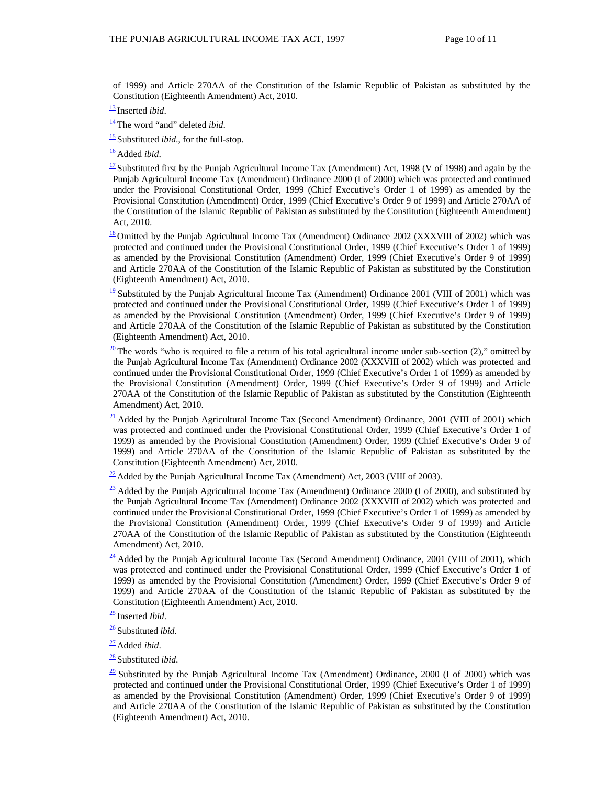of 1999) and Article 270AA of the Constitution of the Islamic Republic of Pakistan as substituted by the Constitution (Eighteenth Amendment) Act, 2010.

<sup>14</sup> The word "and" deleted *ibid*.

<sup>15</sup> Substituted *ibid*., for the full-stop.

<sup>16</sup> Added *ibid*.

 $\frac{17}{2}$  Substituted first by the Punjab Agricultural Income Tax (Amendment) Act, 1998 (V of 1998) and again by the Punjab Agricultural Income Tax (Amendment) Ordinance 2000 (I of 2000) which was protected and continued under the Provisional Constitutional Order, 1999 (Chief Executive's Order 1 of 1999) as amended by the Provisional Constitution (Amendment) Order, 1999 (Chief Executive's Order 9 of 1999) and Article 270AA of the Constitution of the Islamic Republic of Pakistan as substituted by the Constitution (Eighteenth Amendment) Act, 2010.

 $\frac{18}{18}$  Omitted by the Punjab Agricultural Income Tax (Amendment) Ordinance 2002 (XXXVIII of 2002) which was protected and continued under the Provisional Constitutional Order, 1999 (Chief Executive's Order 1 of 1999) as amended by the Provisional Constitution (Amendment) Order, 1999 (Chief Executive's Order 9 of 1999) and Article 270AA of the Constitution of the Islamic Republic of Pakistan as substituted by the Constitution (Eighteenth Amendment) Act, 2010.

 $\frac{19}{2}$  Substituted by the Punjab Agricultural Income Tax (Amendment) Ordinance 2001 (VIII of 2001) which was protected and continued under the Provisional Constitutional Order, 1999 (Chief Executive's Order 1 of 1999) as amended by the Provisional Constitution (Amendment) Order, 1999 (Chief Executive's Order 9 of 1999) and Article 270AA of the Constitution of the Islamic Republic of Pakistan as substituted by the Constitution (Eighteenth Amendment) Act, 2010.

 $\frac{20}{20}$  The words "who is required to file a return of his total agricultural income under sub-section (2)," omitted by the Punjab Agricultural Income Tax (Amendment) Ordinance 2002 (XXXVIII of 2002) which was protected and continued under the Provisional Constitutional Order, 1999 (Chief Executive's Order 1 of 1999) as amended by the Provisional Constitution (Amendment) Order, 1999 (Chief Executive's Order 9 of 1999) and Article 270AA of the Constitution of the Islamic Republic of Pakistan as substituted by the Constitution (Eighteenth Amendment) Act, 2010.

 $\frac{21}{21}$  Added by the Punjab Agricultural Income Tax (Second Amendment) Ordinance, 2001 (VIII of 2001) which was protected and continued under the Provisional Constitutional Order, 1999 (Chief Executive's Order 1 of 1999) as amended by the Provisional Constitution (Amendment) Order, 1999 (Chief Executive's Order 9 of 1999) and Article 270AA of the Constitution of the Islamic Republic of Pakistan as substituted by the Constitution (Eighteenth Amendment) Act, 2010.

 $\frac{22}{2}$  Added by the Punjab Agricultural Income Tax (Amendment) Act, 2003 (VIII of 2003).

 $\frac{23}{23}$  Added by the Punjab Agricultural Income Tax (Amendment) Ordinance 2000 (I of 2000), and substituted by the Punjab Agricultural Income Tax (Amendment) Ordinance 2002 (XXXVIII of 2002) which was protected and continued under the Provisional Constitutional Order, 1999 (Chief Executive's Order 1 of 1999) as amended by the Provisional Constitution (Amendment) Order, 1999 (Chief Executive's Order 9 of 1999) and Article 270AA of the Constitution of the Islamic Republic of Pakistan as substituted by the Constitution (Eighteenth Amendment) Act, 2010.

 $\frac{24}{4}$  Added by the Punjab Agricultural Income Tax (Second Amendment) Ordinance, 2001 (VIII of 2001), which was protected and continued under the Provisional Constitutional Order, 1999 (Chief Executive's Order 1 of 1999) as amended by the Provisional Constitution (Amendment) Order, 1999 (Chief Executive's Order 9 of 1999) and Article 270AA of the Constitution of the Islamic Republic of Pakistan as substituted by the Constitution (Eighteenth Amendment) Act, 2010.

- <sup>26</sup> Substituted *ibid*.
- <sup>27</sup> Added *ibid*.
- <sup>28</sup> Substituted *ibid*.

<sup>13</sup> Inserted *ibid*.

<sup>25</sup> Inserted *Ibid*.

 $\frac{29}{29}$  Substituted by the Punjab Agricultural Income Tax (Amendment) Ordinance, 2000 (I of 2000) which was protected and continued under the Provisional Constitutional Order, 1999 (Chief Executive's Order 1 of 1999) as amended by the Provisional Constitution (Amendment) Order, 1999 (Chief Executive's Order 9 of 1999) and Article 270AA of the Constitution of the Islamic Republic of Pakistan as substituted by the Constitution (Eighteenth Amendment) Act, 2010.